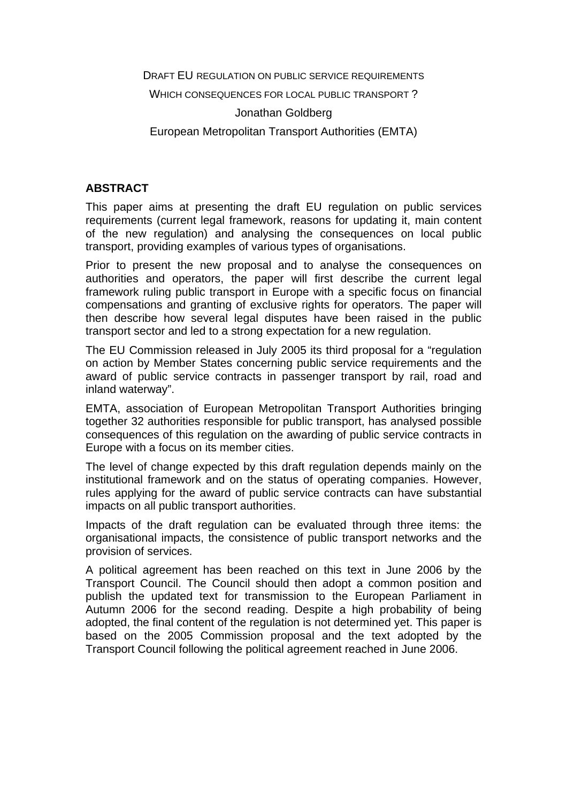DRAFT EU REGULATION ON PUBLIC SERVICE REQUIREMENTS

WHICH CONSEQUENCES FOR LOCAL PUBLIC TRANSPORT ?

#### Jonathan Goldberg

European Metropolitan Transport Authorities (EMTA)

### **ABSTRACT**

This paper aims at presenting the draft EU regulation on public services requirements (current legal framework, reasons for updating it, main content of the new regulation) and analysing the consequences on local public transport, providing examples of various types of organisations.

Prior to present the new proposal and to analyse the consequences on authorities and operators, the paper will first describe the current legal framework ruling public transport in Europe with a specific focus on financial compensations and granting of exclusive rights for operators. The paper will then describe how several legal disputes have been raised in the public transport sector and led to a strong expectation for a new regulation.

The EU Commission released in July 2005 its third proposal for a "regulation on action by Member States concerning public service requirements and the award of public service contracts in passenger transport by rail, road and inland waterway".

EMTA, association of European Metropolitan Transport Authorities bringing together 32 authorities responsible for public transport, has analysed possible consequences of this regulation on the awarding of public service contracts in Europe with a focus on its member cities.

The level of change expected by this draft regulation depends mainly on the institutional framework and on the status of operating companies. However, rules applying for the award of public service contracts can have substantial impacts on all public transport authorities.

Impacts of the draft regulation can be evaluated through three items: the organisational impacts, the consistence of public transport networks and the provision of services.

A political agreement has been reached on this text in June 2006 by the Transport Council. The Council should then adopt a common position and publish the updated text for transmission to the European Parliament in Autumn 2006 for the second reading. Despite a high probability of being adopted, the final content of the regulation is not determined yet. This paper is based on the 2005 Commission proposal and the text adopted by the Transport Council following the political agreement reached in June 2006.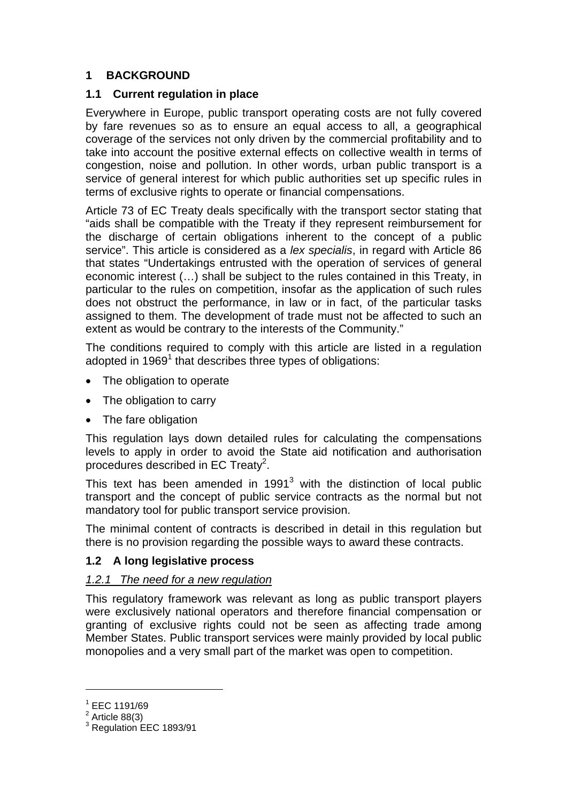# **1 BACKGROUND**

## **1.1 Current regulation in place**

Everywhere in Europe, public transport operating costs are not fully covered by fare revenues so as to ensure an equal access to all, a geographical coverage of the services not only driven by the commercial profitability and to take into account the positive external effects on collective wealth in terms of congestion, noise and pollution. In other words, urban public transport is a service of general interest for which public authorities set up specific rules in terms of exclusive rights to operate or financial compensations.

Article 73 of EC Treaty deals specifically with the transport sector stating that "aids shall be compatible with the Treaty if they represent reimbursement for the discharge of certain obligations inherent to the concept of a public service". This article is considered as a *lex specialis*, in regard with Article 86 that states "Undertakings entrusted with the operation of services of general economic interest (…) shall be subject to the rules contained in this Treaty, in particular to the rules on competition, insofar as the application of such rules does not obstruct the performance, in law or in fact, of the particular tasks assigned to them. The development of trade must not be affected to such an extent as would be contrary to the interests of the Community."

The conditions required to comply with this article are listed in a regulation adopted in  $1969<sup>1</sup>$  that describes three types of obligations:

- The obligation to operate
- The obligation to carry
- The fare obligation

This regulation lays down detailed rules for calculating the compensations levels to apply in order to avoid the State aid notification and authorisation procedures described in EC Treaty<sup>2</sup>.

This text has been amended in 1991 $3$  with the distinction of local public transport and the concept of public service contracts as the normal but not mandatory tool for public transport service provision.

The minimal content of contracts is described in detail in this regulation but there is no provision regarding the possible ways to award these contracts.

## **1.2 A long legislative process**

## *1.2.1 The need for a new regulation*

This regulatory framework was relevant as long as public transport players were exclusively national operators and therefore financial compensation or granting of exclusive rights could not be seen as affecting trade among Member States. Public transport services were mainly provided by local public monopolies and a very small part of the market was open to competition.

 $1$  EEC 1191/69

 $2$  Article 88(3)

<sup>&</sup>lt;sup>3</sup> Regulation EEC 1893/91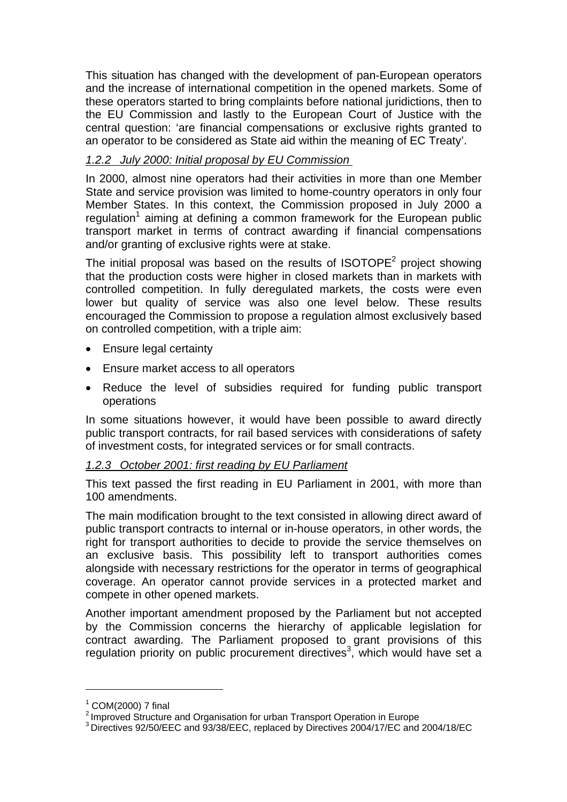This situation has changed with the development of pan-European operators and the increase of international competition in the opened markets. Some of these operators started to bring complaints before national juridictions, then to the EU Commission and lastly to the European Court of Justice with the central question: 'are financial compensations or exclusive rights granted to an operator to be considered as State aid within the meaning of EC Treaty'.

# *1.2.2 July 2000: Initial proposal by EU Commission*

In 2000, almost nine operators had their activities in more than one Member State and service provision was limited to home-country operators in only four Member States. In this context, the Commission proposed in July 2000 a regulation<sup>1</sup> aiming at defining a common framework for the European public transport market in terms of contract awarding if financial compensations and/or granting of exclusive rights were at stake.

The initial proposal was based on the results of ISOTOPE<sup>2</sup> project showing that the production costs were higher in closed markets than in markets with controlled competition. In fully deregulated markets, the costs were even lower but quality of service was also one level below. These results encouraged the Commission to propose a regulation almost exclusively based on controlled competition, with a triple aim:

- Ensure legal certainty
- Ensure market access to all operators
- Reduce the level of subsidies required for funding public transport operations

In some situations however, it would have been possible to award directly public transport contracts, for rail based services with considerations of safety of investment costs, for integrated services or for small contracts.

### *1.2.3 October 2001: first reading by EU Parliament*

This text passed the first reading in EU Parliament in 2001, with more than 100 amendments.

The main modification brought to the text consisted in allowing direct award of public transport contracts to internal or in-house operators, in other words, the right for transport authorities to decide to provide the service themselves on an exclusive basis. This possibility left to transport authorities comes alongside with necessary restrictions for the operator in terms of geographical coverage. An operator cannot provide services in a protected market and compete in other opened markets.

Another important amendment proposed by the Parliament but not accepted by the Commission concerns the hierarchy of applicable legislation for contract awarding. The Parliament proposed to grant provisions of this regulation priority on public procurement directives<sup>3</sup>, which would have set a

 $^1$  COM(2000) 7 final<br>
<sup>2</sup> Improved Structure and Organisation for urban Transport Operation in Europe

 $3$  Directives 92/50/EEC and 93/38/EEC, replaced by Directives 2004/17/EC and 2004/18/EC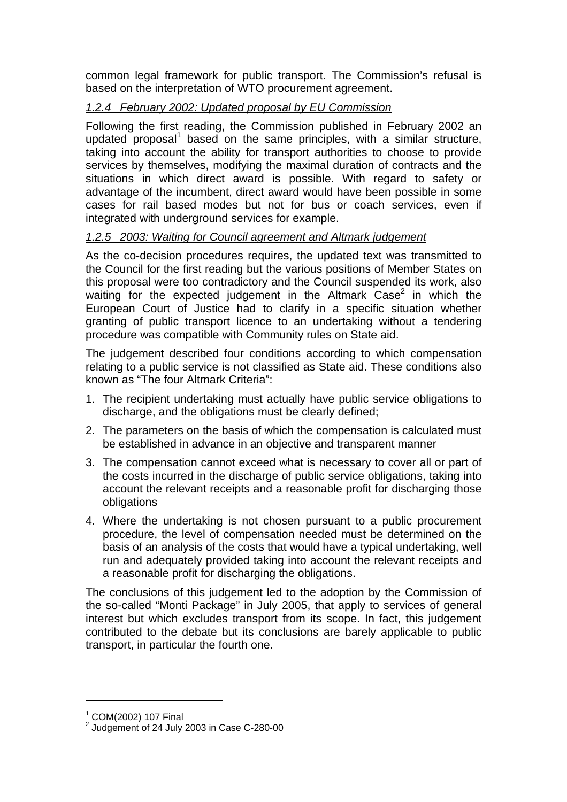common legal framework for public transport. The Commission's refusal is based on the interpretation of WTO procurement agreement.

# *1.2.4 February 2002: Updated proposal by EU Commission*

Following the first reading, the Commission published in February 2002 an updated proposal<sup>1</sup> based on the same principles, with a similar structure, taking into account the ability for transport authorities to choose to provide services by themselves, modifying the maximal duration of contracts and the situations in which direct award is possible. With regard to safety or advantage of the incumbent, direct award would have been possible in some cases for rail based modes but not for bus or coach services, even if integrated with underground services for example.

# *1.2.5 2003: Waiting for Council agreement and Altmark judgement*

As the co-decision procedures requires, the updated text was transmitted to the Council for the first reading but the various positions of Member States on this proposal were too contradictory and the Council suspended its work, also waiting for the expected judgement in the Altmark  $\text{Case}^2$  in which the European Court of Justice had to clarify in a specific situation whether granting of public transport licence to an undertaking without a tendering procedure was compatible with Community rules on State aid.

The judgement described four conditions according to which compensation relating to a public service is not classified as State aid. These conditions also known as "The four Altmark Criteria":

- 1. The recipient undertaking must actually have public service obligations to discharge, and the obligations must be clearly defined;
- 2. The parameters on the basis of which the compensation is calculated must be established in advance in an objective and transparent manner
- 3. The compensation cannot exceed what is necessary to cover all or part of the costs incurred in the discharge of public service obligations, taking into account the relevant receipts and a reasonable profit for discharging those obligations
- 4. Where the undertaking is not chosen pursuant to a public procurement procedure, the level of compensation needed must be determined on the basis of an analysis of the costs that would have a typical undertaking, well run and adequately provided taking into account the relevant receipts and a reasonable profit for discharging the obligations.

The conclusions of this judgement led to the adoption by the Commission of the so-called "Monti Package" in July 2005, that apply to services of general interest but which excludes transport from its scope. In fact, this judgement contributed to the debate but its conclusions are barely applicable to public transport, in particular the fourth one.

<sup>1</sup> COM(2002) 107 Final

 $2$  Judgement of 24 July 2003 in Case C-280-00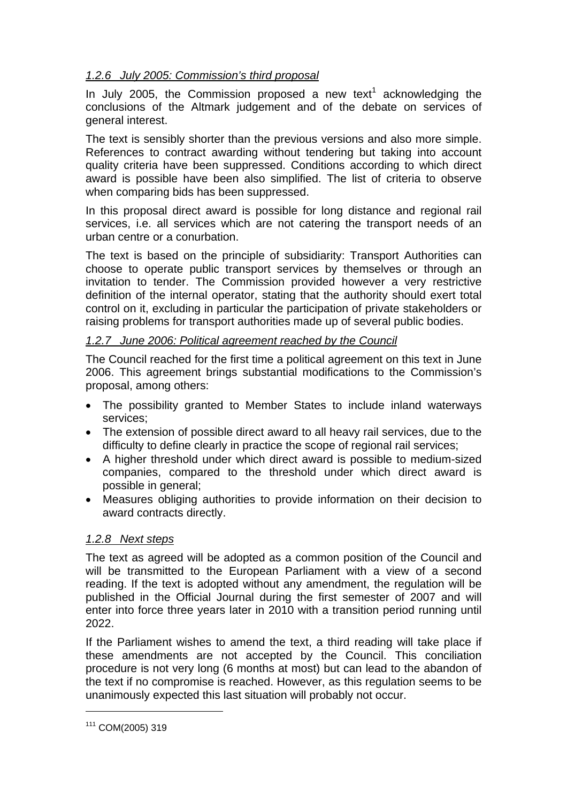# *1.2.6 July 2005: Commission's third proposal*

In July 2005, the Commission proposed a new text<sup>1</sup> acknowledging the conclusions of the Altmark judgement and of the debate on services of general interest.

The text is sensibly shorter than the previous versions and also more simple. References to contract awarding without tendering but taking into account quality criteria have been suppressed. Conditions according to which direct award is possible have been also simplified. The list of criteria to observe when comparing bids has been suppressed.

In this proposal direct award is possible for long distance and regional rail services, i.e. all services which are not catering the transport needs of an urban centre or a conurbation.

The text is based on the principle of subsidiarity: Transport Authorities can choose to operate public transport services by themselves or through an invitation to tender. The Commission provided however a very restrictive definition of the internal operator, stating that the authority should exert total control on it, excluding in particular the participation of private stakeholders or raising problems for transport authorities made up of several public bodies.

## *1.2.7 June 2006: Political agreement reached by the Council*

The Council reached for the first time a political agreement on this text in June 2006. This agreement brings substantial modifications to the Commission's proposal, among others:

- The possibility granted to Member States to include inland waterways services;
- The extension of possible direct award to all heavy rail services, due to the difficulty to define clearly in practice the scope of regional rail services;
- A higher threshold under which direct award is possible to medium-sized companies, compared to the threshold under which direct award is possible in general;
- Measures obliging authorities to provide information on their decision to award contracts directly.

## *1.2.8 Next steps*

The text as agreed will be adopted as a common position of the Council and will be transmitted to the European Parliament with a view of a second reading. If the text is adopted without any amendment, the regulation will be published in the Official Journal during the first semester of 2007 and will enter into force three years later in 2010 with a transition period running until 2022.

If the Parliament wishes to amend the text, a third reading will take place if these amendments are not accepted by the Council. This conciliation procedure is not very long (6 months at most) but can lead to the abandon of the text if no compromise is reached. However, as this regulation seems to be unanimously expected this last situation will probably not occur.

<sup>111</sup> COM(2005) 319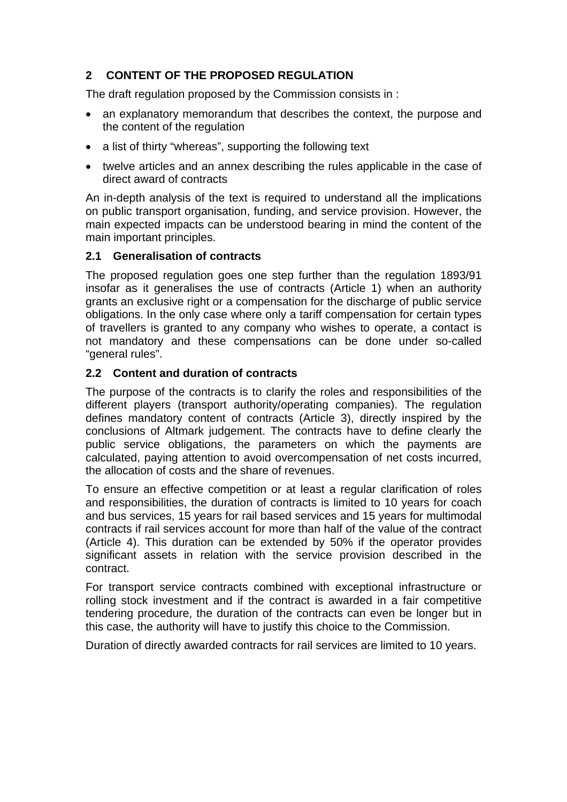## **2 CONTENT OF THE PROPOSED REGULATION**

The draft regulation proposed by the Commission consists in :

- an explanatory memorandum that describes the context, the purpose and the content of the regulation
- a list of thirty "whereas", supporting the following text
- twelve articles and an annex describing the rules applicable in the case of direct award of contracts

An in-depth analysis of the text is required to understand all the implications on public transport organisation, funding, and service provision. However, the main expected impacts can be understood bearing in mind the content of the main important principles.

### **2.1 Generalisation of contracts**

The proposed regulation goes one step further than the regulation 1893/91 insofar as it generalises the use of contracts (Article 1) when an authority grants an exclusive right or a compensation for the discharge of public service obligations. In the only case where only a tariff compensation for certain types of travellers is granted to any company who wishes to operate, a contact is not mandatory and these compensations can be done under so-called "general rules".

### **2.2 Content and duration of contracts**

The purpose of the contracts is to clarify the roles and responsibilities of the different players (transport authority/operating companies). The regulation defines mandatory content of contracts (Article 3), directly inspired by the conclusions of Altmark judgement. The contracts have to define clearly the public service obligations, the parameters on which the payments are calculated, paying attention to avoid overcompensation of net costs incurred, the allocation of costs and the share of revenues.

To ensure an effective competition or at least a regular clarification of roles and responsibilities, the duration of contracts is limited to 10 years for coach and bus services, 15 years for rail based services and 15 years for multimodal contracts if rail services account for more than half of the value of the contract (Article 4). This duration can be extended by 50% if the operator provides significant assets in relation with the service provision described in the contract.

For transport service contracts combined with exceptional infrastructure or rolling stock investment and if the contract is awarded in a fair competitive tendering procedure, the duration of the contracts can even be longer but in this case, the authority will have to justify this choice to the Commission.

Duration of directly awarded contracts for rail services are limited to 10 years.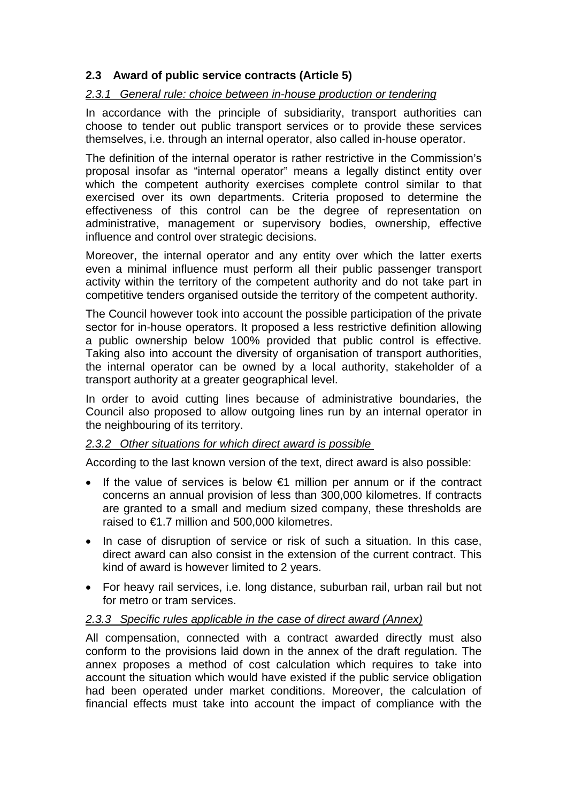# **2.3 Award of public service contracts (Article 5)**

## *2.3.1 General rule: choice between in-house production or tendering*

In accordance with the principle of subsidiarity, transport authorities can choose to tender out public transport services or to provide these services themselves, i.e. through an internal operator, also called in-house operator.

The definition of the internal operator is rather restrictive in the Commission's proposal insofar as "internal operator" means a legally distinct entity over which the competent authority exercises complete control similar to that exercised over its own departments. Criteria proposed to determine the effectiveness of this control can be the degree of representation on administrative, management or supervisory bodies, ownership, effective influence and control over strategic decisions.

Moreover, the internal operator and any entity over which the latter exerts even a minimal influence must perform all their public passenger transport activity within the territory of the competent authority and do not take part in competitive tenders organised outside the territory of the competent authority.

The Council however took into account the possible participation of the private sector for in-house operators. It proposed a less restrictive definition allowing a public ownership below 100% provided that public control is effective. Taking also into account the diversity of organisation of transport authorities, the internal operator can be owned by a local authority, stakeholder of a transport authority at a greater geographical level.

In order to avoid cutting lines because of administrative boundaries, the Council also proposed to allow outgoing lines run by an internal operator in the neighbouring of its territory.

## *2.3.2 Other situations for which direct award is possible*

According to the last known version of the text, direct award is also possible:

- If the value of services is below €1 million per annum or if the contract concerns an annual provision of less than 300,000 kilometres. If contracts are granted to a small and medium sized company, these thresholds are raised to €1.7 million and 500,000 kilometres.
- In case of disruption of service or risk of such a situation. In this case, direct award can also consist in the extension of the current contract. This kind of award is however limited to 2 years.
- For heavy rail services, i.e. long distance, suburban rail, urban rail but not for metro or tram services.

### *2.3.3 Specific rules applicable in the case of direct award (Annex)*

All compensation, connected with a contract awarded directly must also conform to the provisions laid down in the annex of the draft regulation. The annex proposes a method of cost calculation which requires to take into account the situation which would have existed if the public service obligation had been operated under market conditions. Moreover, the calculation of financial effects must take into account the impact of compliance with the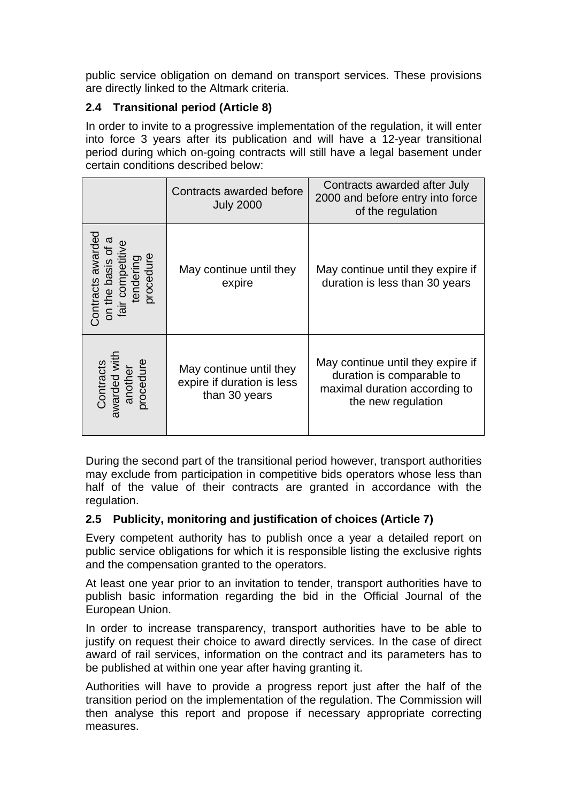public service obligation on demand on transport services. These provisions are directly linked to the Altmark criteria.

# **2.4 Transitional period (Article 8)**

In order to invite to a progressive implementation of the regulation, it will enter into force 3 years after its publication and will have a 12-year transitional period during which on-going contracts will still have a legal basement under certain conditions described below:

|                                                                            | Contracts awarded before<br><b>July 2000</b>                           | Contracts awarded after July<br>2000 and before entry into force<br>of the regulation                                 |
|----------------------------------------------------------------------------|------------------------------------------------------------------------|-----------------------------------------------------------------------------------------------------------------------|
| Contracts awarded<br>fair competiti<br>tendering<br>procedure<br>the basis | May continue until they<br>expire                                      | May continue until they expire if<br>duration is less than 30 years                                                   |
| Contracts<br>awarded with<br>another<br>procedure                          | May continue until they<br>expire if duration is less<br>than 30 years | May continue until they expire if<br>duration is comparable to<br>maximal duration according to<br>the new regulation |

During the second part of the transitional period however, transport authorities may exclude from participation in competitive bids operators whose less than half of the value of their contracts are granted in accordance with the regulation.

## **2.5 Publicity, monitoring and justification of choices (Article 7)**

Every competent authority has to publish once a year a detailed report on public service obligations for which it is responsible listing the exclusive rights and the compensation granted to the operators.

At least one year prior to an invitation to tender, transport authorities have to publish basic information regarding the bid in the Official Journal of the European Union.

In order to increase transparency, transport authorities have to be able to justify on request their choice to award directly services. In the case of direct award of rail services, information on the contract and its parameters has to be published at within one year after having granting it.

Authorities will have to provide a progress report just after the half of the transition period on the implementation of the regulation. The Commission will then analyse this report and propose if necessary appropriate correcting measures.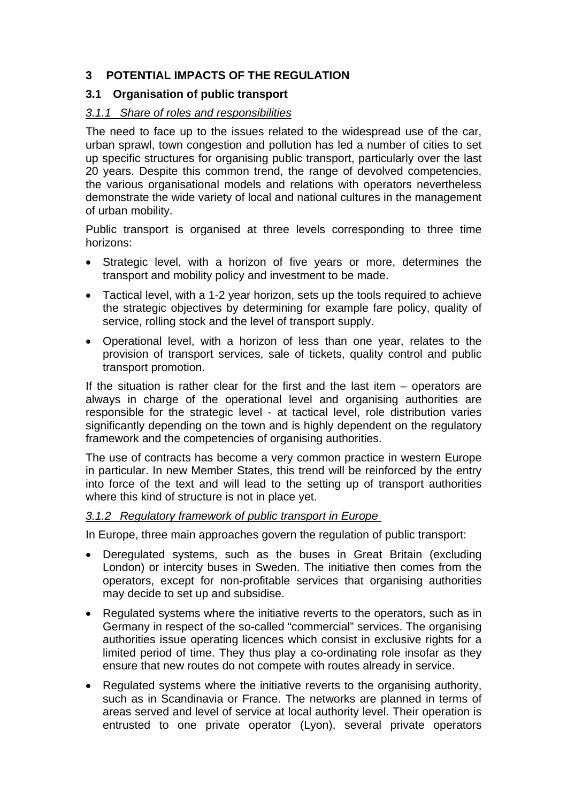## **3 POTENTIAL IMPACTS OF THE REGULATION**

## **3.1 Organisation of public transport**

### *3.1.1 Share of roles and responsibilities*

The need to face up to the issues related to the widespread use of the car, urban sprawl, town congestion and pollution has led a number of cities to set up specific structures for organising public transport, particularly over the last 20 years. Despite this common trend, the range of devolved competencies, the various organisational models and relations with operators nevertheless demonstrate the wide variety of local and national cultures in the management of urban mobility.

Public transport is organised at three levels corresponding to three time horizons:

- Strategic level, with a horizon of five years or more, determines the transport and mobility policy and investment to be made.
- Tactical level, with a 1-2 year horizon, sets up the tools required to achieve the strategic objectives by determining for example fare policy, quality of service, rolling stock and the level of transport supply.
- Operational level, with a horizon of less than one year, relates to the provision of transport services, sale of tickets, quality control and public transport promotion.

If the situation is rather clear for the first and the last item  $-$  operators are always in charge of the operational level and organising authorities are responsible for the strategic level - at tactical level, role distribution varies significantly depending on the town and is highly dependent on the regulatory framework and the competencies of organising authorities.

The use of contracts has become a very common practice in western Europe in particular. In new Member States, this trend will be reinforced by the entry into force of the text and will lead to the setting up of transport authorities where this kind of structure is not in place yet.

### *3.1.2 Regulatory framework of public transport in Europe*

In Europe, three main approaches govern the regulation of public transport:

- Deregulated systems, such as the buses in Great Britain (excluding London) or intercity buses in Sweden. The initiative then comes from the operators, except for non-profitable services that organising authorities may decide to set up and subsidise.
- Regulated systems where the initiative reverts to the operators, such as in Germany in respect of the so-called "commercial" services. The organising authorities issue operating licences which consist in exclusive rights for a limited period of time. They thus play a co-ordinating role insofar as they ensure that new routes do not compete with routes already in service.
- Regulated systems where the initiative reverts to the organising authority, such as in Scandinavia or France. The networks are planned in terms of areas served and level of service at local authority level. Their operation is entrusted to one private operator (Lyon), several private operators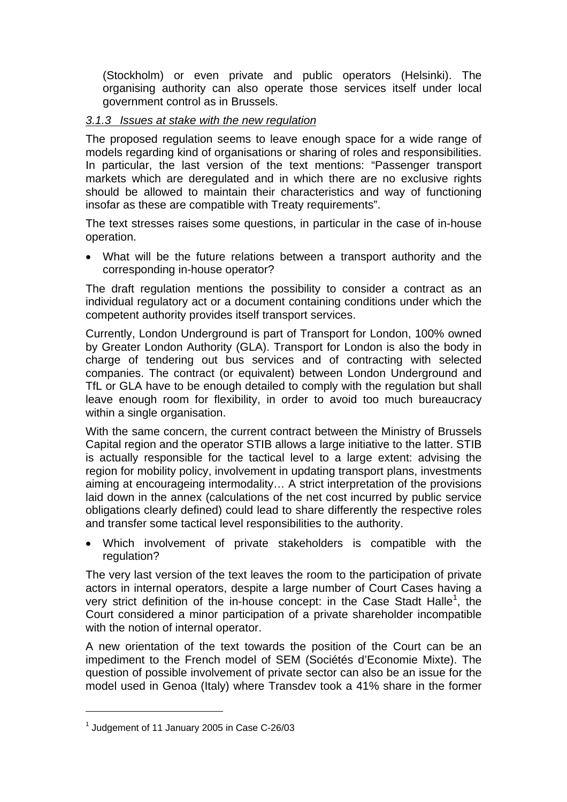(Stockholm) or even private and public operators (Helsinki). The organising authority can also operate those services itself under local government control as in Brussels.

### *3.1.3 Issues at stake with the new regulation*

The proposed regulation seems to leave enough space for a wide range of models regarding kind of organisations or sharing of roles and responsibilities. In particular, the last version of the text mentions: "Passenger transport markets which are deregulated and in which there are no exclusive rights should be allowed to maintain their characteristics and way of functioning insofar as these are compatible with Treaty requirements".

The text stresses raises some questions, in particular in the case of in-house operation.

• What will be the future relations between a transport authority and the corresponding in-house operator?

The draft regulation mentions the possibility to consider a contract as an individual regulatory act or a document containing conditions under which the competent authority provides itself transport services.

Currently, London Underground is part of Transport for London, 100% owned by Greater London Authority (GLA). Transport for London is also the body in charge of tendering out bus services and of contracting with selected companies. The contract (or equivalent) between London Underground and TfL or GLA have to be enough detailed to comply with the regulation but shall leave enough room for flexibility, in order to avoid too much bureaucracy within a single organisation.

With the same concern, the current contract between the Ministry of Brussels Capital region and the operator STIB allows a large initiative to the latter. STIB is actually responsible for the tactical level to a large extent: advising the region for mobility policy, involvement in updating transport plans, investments aiming at encourageing intermodality… A strict interpretation of the provisions laid down in the annex (calculations of the net cost incurred by public service obligations clearly defined) could lead to share differently the respective roles and transfer some tactical level responsibilities to the authority.

• Which involvement of private stakeholders is compatible with the regulation?

The very last version of the text leaves the room to the participation of private actors in internal operators, despite a large number of Court Cases having a very strict definition of the in-house concept: in the Case Stadt Halle<sup>1</sup>, the Court considered a minor participation of a private shareholder incompatible with the notion of internal operator.

A new orientation of the text towards the position of the Court can be an impediment to the French model of SEM (Sociétés d'Economie Mixte). The question of possible involvement of private sector can also be an issue for the model used in Genoa (Italy) where Transdev took a 41% share in the former

 $<sup>1</sup>$  Judgement of 11 January 2005 in Case C-26/03</sup>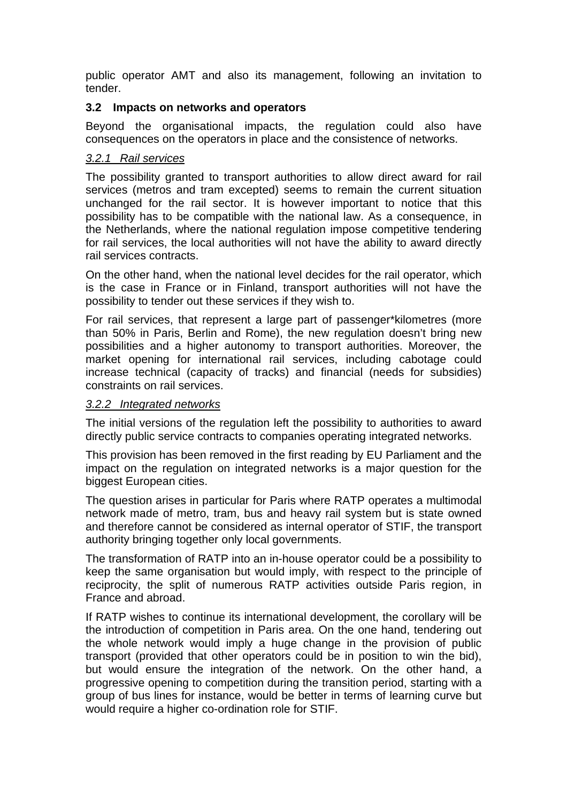public operator AMT and also its management, following an invitation to tender.

### **3.2 Impacts on networks and operators**

Beyond the organisational impacts, the regulation could also have consequences on the operators in place and the consistence of networks.

#### *3.2.1 Rail services*

The possibility granted to transport authorities to allow direct award for rail services (metros and tram excepted) seems to remain the current situation unchanged for the rail sector. It is however important to notice that this possibility has to be compatible with the national law. As a consequence, in the Netherlands, where the national regulation impose competitive tendering for rail services, the local authorities will not have the ability to award directly rail services contracts.

On the other hand, when the national level decides for the rail operator, which is the case in France or in Finland, transport authorities will not have the possibility to tender out these services if they wish to.

For rail services, that represent a large part of passenger\*kilometres (more than 50% in Paris, Berlin and Rome), the new regulation doesn't bring new possibilities and a higher autonomy to transport authorities. Moreover, the market opening for international rail services, including cabotage could increase technical (capacity of tracks) and financial (needs for subsidies) constraints on rail services.

#### *3.2.2 Integrated networks*

The initial versions of the regulation left the possibility to authorities to award directly public service contracts to companies operating integrated networks.

This provision has been removed in the first reading by EU Parliament and the impact on the regulation on integrated networks is a major question for the biggest European cities.

The question arises in particular for Paris where RATP operates a multimodal network made of metro, tram, bus and heavy rail system but is state owned and therefore cannot be considered as internal operator of STIF, the transport authority bringing together only local governments.

The transformation of RATP into an in-house operator could be a possibility to keep the same organisation but would imply, with respect to the principle of reciprocity, the split of numerous RATP activities outside Paris region, in France and abroad.

If RATP wishes to continue its international development, the corollary will be the introduction of competition in Paris area. On the one hand, tendering out the whole network would imply a huge change in the provision of public transport (provided that other operators could be in position to win the bid), but would ensure the integration of the network. On the other hand, a progressive opening to competition during the transition period, starting with a group of bus lines for instance, would be better in terms of learning curve but would require a higher co-ordination role for STIF.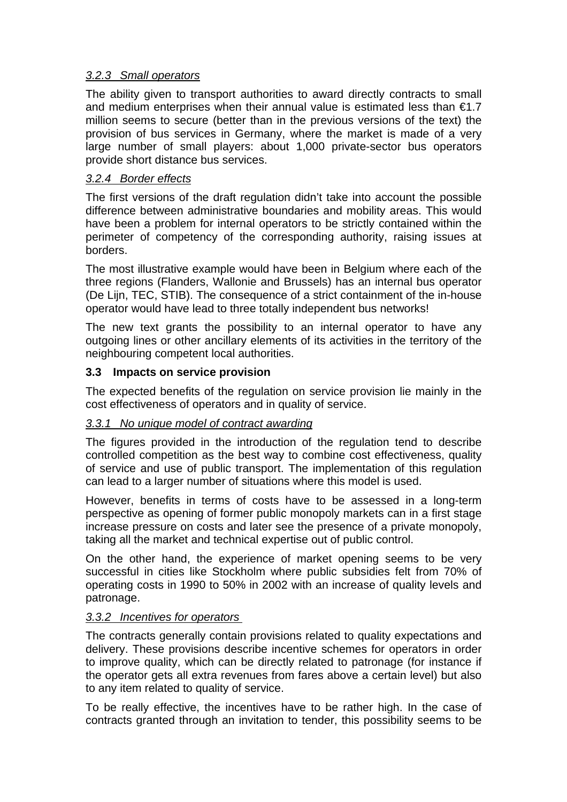### *3.2.3 Small operators*

The ability given to transport authorities to award directly contracts to small and medium enterprises when their annual value is estimated less than  $\epsilon$ 1.7 million seems to secure (better than in the previous versions of the text) the provision of bus services in Germany, where the market is made of a very large number of small players: about 1,000 private-sector bus operators provide short distance bus services.

### *3.2.4 Border effects*

The first versions of the draft regulation didn't take into account the possible difference between administrative boundaries and mobility areas. This would have been a problem for internal operators to be strictly contained within the perimeter of competency of the corresponding authority, raising issues at borders.

The most illustrative example would have been in Belgium where each of the three regions (Flanders, Wallonie and Brussels) has an internal bus operator (De Lijn, TEC, STIB). The consequence of a strict containment of the in-house operator would have lead to three totally independent bus networks!

The new text grants the possibility to an internal operator to have any outgoing lines or other ancillary elements of its activities in the territory of the neighbouring competent local authorities.

### **3.3 Impacts on service provision**

The expected benefits of the regulation on service provision lie mainly in the cost effectiveness of operators and in quality of service.

### *3.3.1 No unique model of contract awarding*

The figures provided in the introduction of the regulation tend to describe controlled competition as the best way to combine cost effectiveness, quality of service and use of public transport. The implementation of this regulation can lead to a larger number of situations where this model is used.

However, benefits in terms of costs have to be assessed in a long-term perspective as opening of former public monopoly markets can in a first stage increase pressure on costs and later see the presence of a private monopoly, taking all the market and technical expertise out of public control.

On the other hand, the experience of market opening seems to be very successful in cities like Stockholm where public subsidies felt from 70% of operating costs in 1990 to 50% in 2002 with an increase of quality levels and patronage.

### *3.3.2 Incentives for operators*

The contracts generally contain provisions related to quality expectations and delivery. These provisions describe incentive schemes for operators in order to improve quality, which can be directly related to patronage (for instance if the operator gets all extra revenues from fares above a certain level) but also to any item related to quality of service.

To be really effective, the incentives have to be rather high. In the case of contracts granted through an invitation to tender, this possibility seems to be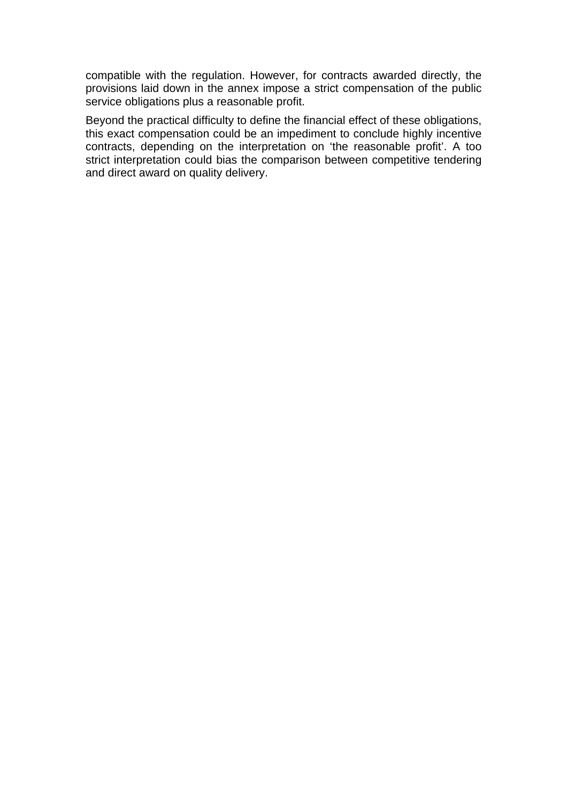compatible with the regulation. However, for contracts awarded directly, the provisions laid down in the annex impose a strict compensation of the public service obligations plus a reasonable profit.

Beyond the practical difficulty to define the financial effect of these obligations, this exact compensation could be an impediment to conclude highly incentive contracts, depending on the interpretation on 'the reasonable profit'. A too strict interpretation could bias the comparison between competitive tendering and direct award on quality delivery.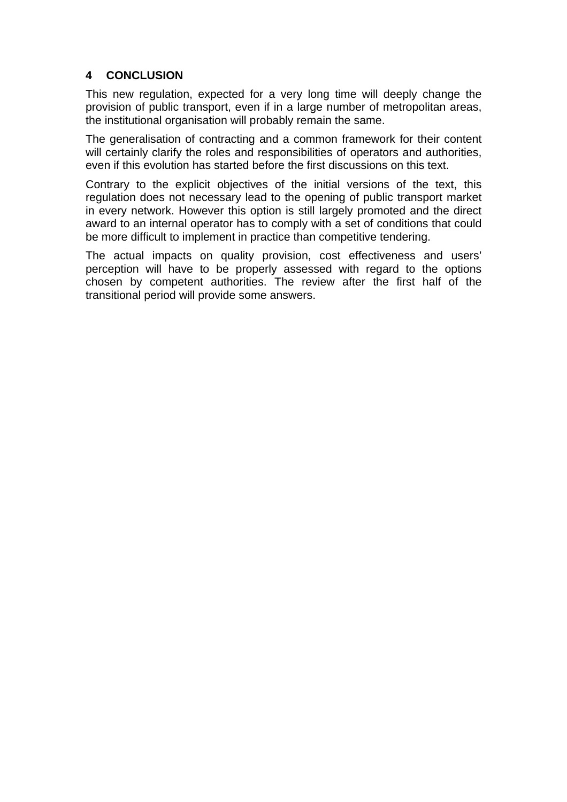## **4 CONCLUSION**

This new regulation, expected for a very long time will deeply change the provision of public transport, even if in a large number of metropolitan areas, the institutional organisation will probably remain the same.

The generalisation of contracting and a common framework for their content will certainly clarify the roles and responsibilities of operators and authorities, even if this evolution has started before the first discussions on this text.

Contrary to the explicit objectives of the initial versions of the text, this regulation does not necessary lead to the opening of public transport market in every network. However this option is still largely promoted and the direct award to an internal operator has to comply with a set of conditions that could be more difficult to implement in practice than competitive tendering.

The actual impacts on quality provision, cost effectiveness and users' perception will have to be properly assessed with regard to the options chosen by competent authorities. The review after the first half of the transitional period will provide some answers.